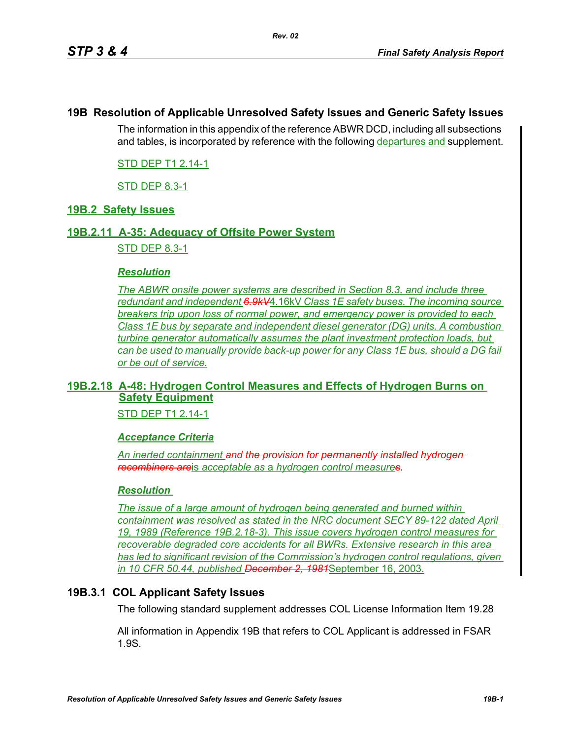## **19B Resolution of Applicable Unresolved Safety Issues and Generic Safety Issues**

The information in this appendix of the reference ABWR DCD, including all subsections and tables, is incorporated by reference with the following departures and supplement.

STD DEP T1 2.14-1

STD DEP 8.3-1

## **19B.2 Safety Issues**

### **19B.2.11 A-35: Adequacy of Offsite Power System**

STD DEP 8.3-1

#### *Resolution*

*The ABWR onsite power systems are described in Section 8.3, and include three redundant and independent 6.9kV*4.16kV *Class 1E safety buses. The incoming source breakers trip upon loss of normal power, and emergency power is provided to each Class 1E bus by separate and independent diesel generator (DG) units. A combustion turbine generator automatically assumes the plant investment protection loads, but can be used to manually provide back-up power for any Class 1E bus, should a DG fail or be out of service.*

## **19B.2.18 A-48: Hydrogen Control Measures and Effects of Hydrogen Burns on Safety Equipment**

STD DEP T1 2.14-1

#### *Acceptance Criteria*

*An inerted containment and the provision for permanently installed hydrogen recombiners are*is *acceptable as* a *hydrogen control measures.*

### *Resolution*

*The issue of a large amount of hydrogen being generated and burned within containment was resolved as stated in the NRC document SECY 89-122 dated April 19, 1989 (Reference 19B.2.18-3). This issue covers hydrogen control measures for recoverable degraded core accidents for all BWRs. Extensive research in this area has led to significant revision of the Commission's hydrogen control regulations, given in 10 CFR 50.44, published December 2, 1981*September 16, 2003.

# **19B.3.1 COL Applicant Safety Issues**

The following standard supplement addresses COL License Information Item 19.28

All information in Appendix 19B that refers to COL Applicant is addressed in FSAR 1.9S.